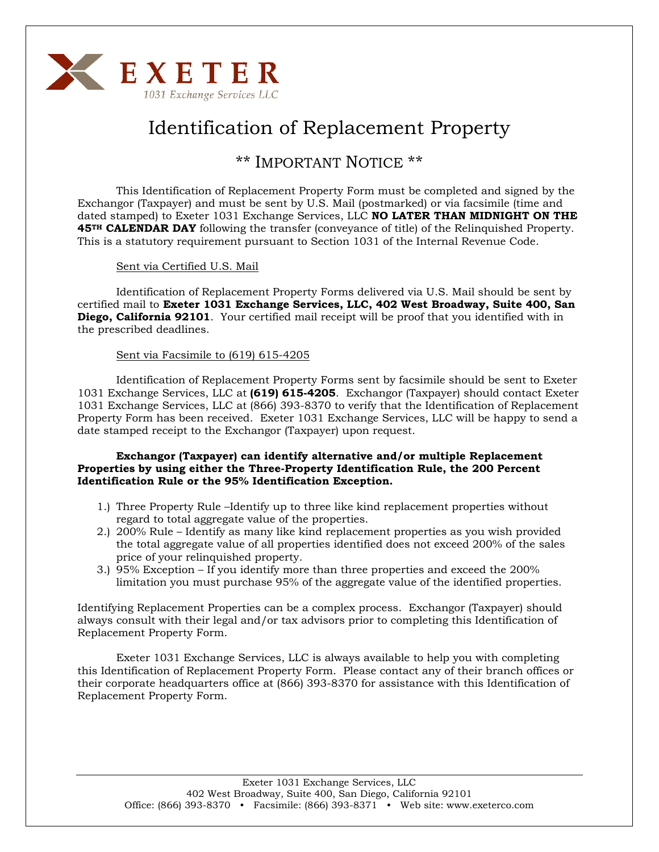

# Identification of Replacement Property

### \*\* IMPORTANT NOTICE \*\*

This Identification of Replacement Property Form must be completed and signed by the Exchangor (Taxpayer) and must be sent by U.S. Mail (postmarked) or via facsimile (time and dated stamped) to Exeter 1031 Exchange Services, LLC **NO LATER THAN MIDNIGHT ON THE 45<sup>TH</sup> CALENDAR DAY** following the transfer (conveyance of title) of the Relinquished Property. This is a statutory requirement pursuant to Section 1031 of the Internal Revenue Code.

Sent via Certified U.S. Mail

 Identification of Replacement Property Forms delivered via U.S. Mail should be sent by certified mail to **Exeter 1031 Exchange Services, LLC, 402 West Broadway, Suite 400, San Diego, California 92101**. Your certified mail receipt will be proof that you identified with in the prescribed deadlines.

### Sent via Facsimile to (619) 615-4205

 Identification of Replacement Property Forms sent by facsimile should be sent to Exeter 1031 Exchange Services, LLC at **(619) 615-4205**. Exchangor (Taxpayer) should contact Exeter 1031 Exchange Services, LLC at (866) 393-8370 to verify that the Identification of Replacement Property Form has been received. Exeter 1031 Exchange Services, LLC will be happy to send a date stamped receipt to the Exchangor (Taxpayer) upon request.

#### **Exchangor (Taxpayer) can identify alternative and/or multiple Replacement Properties by using either the Three-Property Identification Rule, the 200 Percent Identification Rule or the 95% Identification Exception.**

- 1.) Three Property Rule –Identify up to three like kind replacement properties without regard to total aggregate value of the properties.
- 2.) 200% Rule Identify as many like kind replacement properties as you wish provided the total aggregate value of all properties identified does not exceed 200% of the sales price of your relinquished property.
- 3.) 95% Exception If you identify more than three properties and exceed the 200% limitation you must purchase 95% of the aggregate value of the identified properties.

Identifying Replacement Properties can be a complex process. Exchangor (Taxpayer) should always consult with their legal and/or tax advisors prior to completing this Identification of Replacement Property Form.

 Exeter 1031 Exchange Services, LLC is always available to help you with completing this Identification of Replacement Property Form. Please contact any of their branch offices or their corporate headquarters office at (866) 393-8370 for assistance with this Identification of Replacement Property Form.